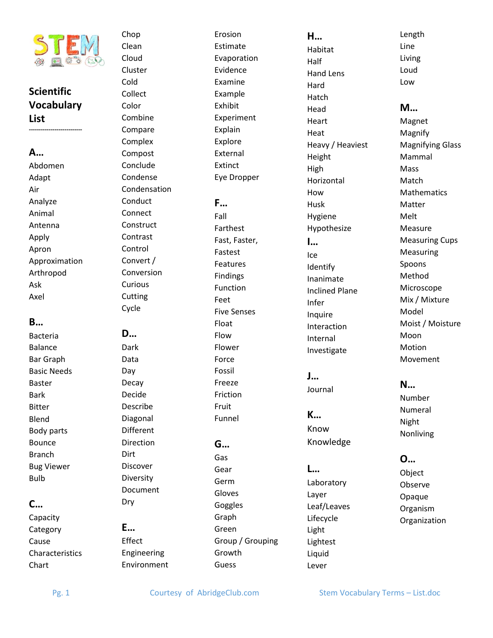

#### **Scientific Vocabulary List ---------------------------**

**A…** Abdomen Adapt

Air Analyze Animal Antenna Apply Apron Approximation Arthropod Ask Axel

#### **B…**

Bacteria Balance Bar Graph Basic Needs Baster Bark Bitter Blend Body parts Bounce Branch Bug Viewer Bulb

## **C…**

Capacity **Category** Cause Characteristics Chart

Clean Cloud Cluster Cold Collect Color Combine Compare Complex Compost Conclude Condense Condensation Conduct Connect **Construct** Contrast Control Convert / Conversion Curious Cutting Cycle

Chop

## **D…**

Dark Data Day Decay Decide Describe Diagonal Different Direction **Dirt** Discover Diversity Document Dry

**E…** Effect Engineering Environment

Erosion Estimate Evaporation Evidence Examine Example Exhibit Experiment Explain Explore External Extinct Eye Dropper **F…** Fall Farthest Fast, Faster, Fastest Features Findings Function Feet Five Senses Float Flow Flower Force Fossil Freeze Friction Fruit Funnel **G…** Gas Gear Germ

**H…** Habitat **Half** Hand Lens Hard Hatch Head Heart Heat Heavy / Heaviest Height High Horizontal How Husk Hygiene Hypothesize **I…** Ice Identify Inanimate Inclined Plane Infer Inquire

> Interaction Internal Investigate

**J…** Journal

**K…** Know

**L…**

Knowledge

Laboratory Layer Leaf/Leaves Lifecycle Light Lightest Liquid Lever

#### Length Line Living Loud Low

**M…**

Magnet Magnify Magnifying Glass Mammal Mass Match **Mathematics** Matter Melt Measure Measuring Cups Measuring Spoons Method Microscope Mix / Mixture Model Moist / Moisture Moon Motion Movement

## **N…**

Number Numeral Night Nonliving

## **O…**

Object Observe Opaque Organism Organization

Gloves Goggles Graph Green

Growth Guess

Group / Grouping